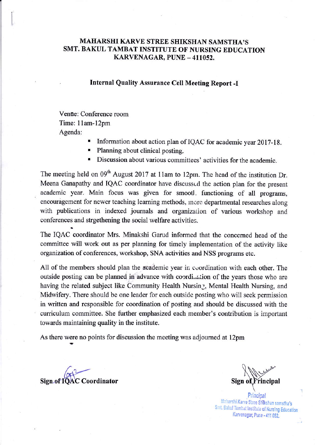# MAHARSHI KARVE STREE SHIKSHAN SAMSTHA'S SMT. BAKUL TAMBAT INSTITUTE OT NURSING EDUCATION KARVENAGAR, PUNE - 411052.

### Internal Quality Assurance Cell Meeting Report -I

Venue: Conference room Time: l lam-12pm Agenda:

- . Information about action plan of IQAC for academic year 2017-1 8.
- . Plaming about clinical posting.
- . Discussion about various committecs' activities for the academic.

The meeting held on  $09<sup>th</sup>$  August 2017 at 11am to 12pm. The head of the institution Dr. Meena Ganapathy and IQAC coordinator have discussod the action plan for the present academic year. Main focus was given for smootl. functioning of all programs, encouragement for newer teaching learning methods, more departmental researches along with publications in indexed journals and organization of various workshop and conferences and strgethening the social welfare activities.

The IQAC coordinator Mrs. Minakshi Garud informed that the concerned head of the committee will work out as per planning for timely implementation of the activity like organization of conferences, workshop, SNA activities and NSS programs etc.

All of the members should plan the academic year in coordination with each other. The outside posting can be planned in advance with coordi....tion of the years those who are having the related subject like Community Health Nursing, Mental Health Nursing, and Midwifery. There should be one leader for each outsidc posting who will seek permission in written and responsible for coordination of posting and should be discussed with the curriculum committee. She further emphasized each member's contribution is important towards maintaining quality in the institute.

As there were no points for discussion the meeting was adjoumed at l2pm

Sign of TOAC Coordinator

Sign of Frincipal

Smt. Bakul Tambat Institute of Nursing Educatior<br>Karvenagar, Pune - 411 052. Principal Maharshi Karve Stree Shikshan samstha's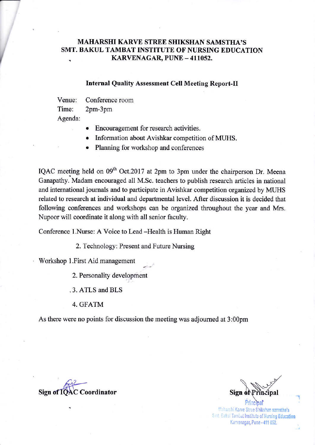# MAHARSHI KARVE STREE SIIIKSHAN SAMSTIIA'S SMT. BAKUL TAMBAT INSTITUTE OF NURSING EDUCATION KARVENAGAR, PUNE - 411052.

### Internal Quality Assessment Cell Meeting Report-Il

Venue: Conference room Time: 2pm-3pm Agenda:

I

Encouragement for research activities.

- Information about Avishkar competition of MUHS.
- Planning for workshop and conferences

IQAC meeting held on  $09<sup>th</sup>$  Oct.2017 at 2pm to 3pm under the chairperson Dr. Meena Ganapathy. Madam encouraged all M.Sc. teachers to publish research articles in national and international journals and to participate in Avishkar competition organized by MUHS related to research at individual and departmental level. After discussion it is decided that following conferences and workshops can be organized throughout the year and Mrs. Nupoor will coordinate it along with all senior faculty.

Conference 1.Nurse: A Voice to Lead -Health is Human Right

2. Technology: Present and Future Nursing

Workshop l.First Aid management

2. Personality development

.3. ATLS and BLS

4. GFATM

As there were no points for discussion the meeting was adjoumed at 3:00pm

- -

Sign of IOAC Coordinator

off the Coordinator Sign of Principal

1

Maharshi Karve Stree Shikshan samstha's Smt. Bakul Tambat Institute of Nursing Education Karvenagar, Pune - 411 052.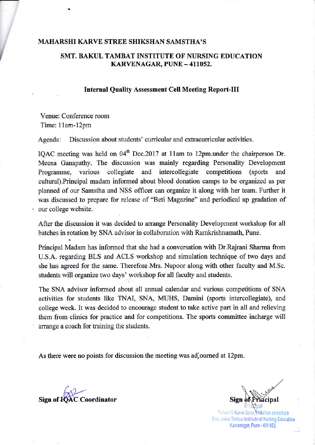#### MAHARSHI KARVE STREE SHIKSHAN SAMSTHA'S

### SMT. BAKUL TAMBAT INSTITUTE OF NURSING EDUCATION KARVENAGAR, PUNE - 411052.

### **Internal Quality Assessment Cell Meeting Report-III**

Venue: Conference room Time: I lam-12pm

I

Agenda: Discussion about students' curricular and extracurricular activities.

IQAC meeting was held on 04<sup>th</sup> Dec.2017 at 11am to 12pm.under the chairperson Dr. Meena Ganapathy. The discussion was mainly regarding Personality Development Programme, various collegiate and intercollegiate competitions (sports and culturat).Principal madam informed about blood donation camps to be organized as per planned of our Samstha and NSS officer can organize it along with her team. Further it was discussed to prepare for release of "Beti Magazine" and periodical up gradation of our college website.

After the discussion it was decided to arrange Personality Development workshop for all batches in rotation by SNA advisor in collaboration with Ramkrishnamath, Pune.

Principal Madam has informed that she had a conversation with Dr.Rajrani Sharma from U.S.A. regarding BLS and ACLS workshop and simulation technique of two days and she has agreed for the same. Therefore Mrs. Nupoor along with other faculty and M.Sc. students will organize two days' workshop for all faculty and students.

The SNA advisor informed about all annual calendar and various competitions of SNA activities for students like TNAI, SNA, MUHS, Damini (sports intercollegiate), and college week. It was decided to encourage student to take active part in all and relieving them ftom clinics for practice and for competitions. The sports committee incharge will arange a coach for training the students.

As there were no points for discussion the meeting was ad,oumed at l2pm.

Sign of **FCAC** Coordinator

Sign  $\epsilon$ 

Smt. Bakul Tambat Institute of Nursing Education Karvenagar, Pune - 411 052.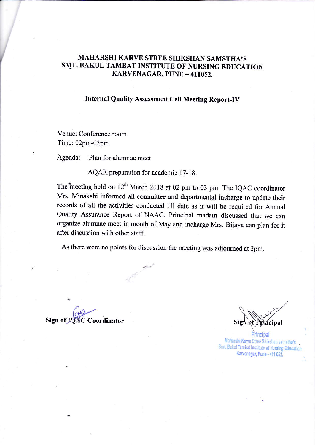# MAHARSHI KARVE STREE SHIKSHAN SAMSTHA'S SMT. BAKUL TAMBAT INSTITUTE OF NURSING EDUCATION KARVENAGAR, PUNE - 411052.

# Internal Quality Assessment Cell Meeting Report-IV

Venue: Conference room Time: 02pm-03pm

Agenda: Plan for alumnae meet

AQAR preparation for academic l7-18.

The meeting held on 12<sup>th</sup> March 2018 at 02 pm to 03 pm. The IQAC coordinator Mrs. Minakshi informed all committee and departmental incharge to update their records of all the activities conducted till date as it will be required for Annual Quality Assurance Report of NAAC. Principal madam discussed that we can organize alumnae meet in month of May and incharge Mrs. Bijaya can plan for it after discussion with other staff.

As there were no points for discussion the meeting was adjourned at 3pm.

Sign of IQAC Coordinator

risicipal

Maharshi Karve Stree Shikshan samstha's Smt. Bakul Tambat Institute of Nursing Education Karvenagar, Pune - 411 052.